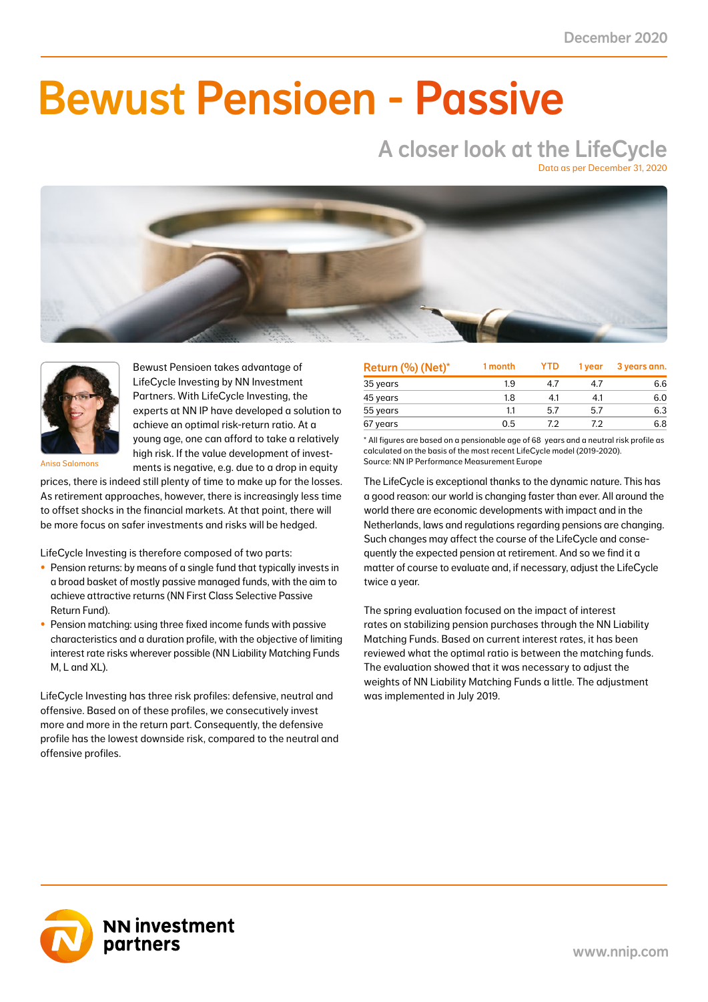NN First Class Selective Passive Return Fund 2.0 0.8 3.6 1.5 3.6 1.5 6.0 2.5 19.2 8.0 41.0

### NN Liability Matching Fund M 0.0 0.0 1.2 0.5 1.2 0.5 1.2 0.5 3.8 1.5 38.0 NN Liability Matching Fund L 0.2 0.0 13.0 1.3 13.0 1.3 11.6 1.2 39.0 3.7 10.0 NN Liability Matching Fund XL 0.6 0.1 28.5 3.1 28.5 3.1 24.0 2.6 90.7 8.2 11.0 Bewust Pensioen - Passive

# A closer look at the LifeCycle

Data as per December 31, 2020





Bewust Pensioen takes advantage of LifeCycle Investing by NN Investment Partners. With LifeCycle Investing, the experts at NN IP have developed a solution to achieve an optimal risk-return ratio. At a young age, one can afford to take a relatively high risk. If the value development of investments is negative, e.g. due to a drop in equity

Anisa Salomons

prices, there is indeed still plenty of time to make up for the losses. As retirement approaches, however, there is increasingly less time to offset shocks in the financial markets. At that point, there will be more focus on safer investments and risks will be hedged.

LifeCycle Investing is therefore composed of two parts:

- Pension returns: by means of a single fund that typically invests in a broad basket of mostly passive managed funds, with the aim to achieve attractive returns (NN First Class Selective Passive Return Fund).
- Pension matching: using three fixed income funds with passive characteristics and a duration profile, with the objective of limiting interest rate risks wherever possible (NN Liability Matching Funds M, L and XL).

LifeCycle Investing has three risk profiles: defensive, neutral and offensive. Based on of these profiles, we consecutively invest more and more in the return part. Consequently, the defensive profile has the lowest downside risk, compared to the neutral and offensive profiles.

| Return (%) (Net)* | 1 month | <b>YTD</b> | 1 year | 3 years ann. |
|-------------------|---------|------------|--------|--------------|
| 35 years          | 1.9     | 47         | 47     | 6.6          |
| 45 years          | 1.8     | 4.1        | 4.1    | 6.0          |
| 55 years          | 11      | 5.7        | 5.7    | 6.3          |
| 67 years          | 0.5     | 79         | 72     | 6.8          |

\* All figures are based on a pensionable age of 68 years and a neutral risk profile as calculated on the basis of the most recent LifeCycle model (2019-2020). Source: NN IP Performance Measurement Europe

The LifeCycle is exceptional thanks to the dynamic nature. This has a good reason: our world is changing faster than ever. All around the world there are economic developments with impact and in the Netherlands, laws and regulations regarding pensions are changing. Such changes may affect the course of the LifeCycle and consequently the expected pension at retirement. And so we find it a matter of course to evaluate and, if necessary, adjust the LifeCycle twice a year.

The spring evaluation focused on the impact of interest rates on stabilizing pension purchases through the NN Liability Matching Funds. Based on current interest rates, it has been reviewed what the optimal ratio is between the matching funds. The evaluation showed that it was necessary to adjust the weights of NN Liability Matching Funds a little. The adjustment was implemented in July 2019.

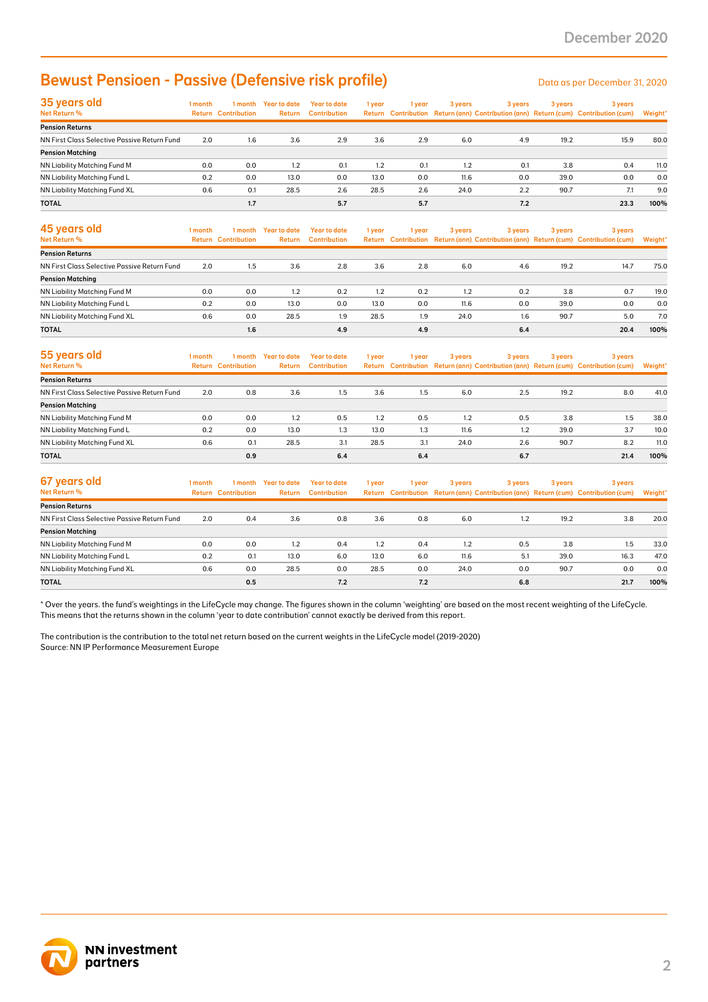### Bewust Pensioen - Passive (Defensive risk profile)

| 35 years old                                 | 1 month | 1 month                    | Year to date  | Year to date        | 1 year | 1 year | 3 years | 3 years | 3 years | 3 years                                                                             |         |
|----------------------------------------------|---------|----------------------------|---------------|---------------------|--------|--------|---------|---------|---------|-------------------------------------------------------------------------------------|---------|
| Net Return %                                 |         | <b>Return Contribution</b> | <b>Return</b> | <b>Contribution</b> |        |        |         |         |         | Return Contribution Return (ann) Contribution (ann) Return (cum) Contribution (cum) | Weight* |
| <b>Pension Returns</b>                       |         |                            |               |                     |        |        |         |         |         |                                                                                     |         |
| NN First Class Selective Passive Return Fund | 2.0     | 1.6                        | 3.6           | 2.9                 | 3.6    | 2.9    | 6.0     | 4.9     | 19.2    | 15.9                                                                                | 80.0    |
| <b>Pension Matching</b>                      |         |                            |               |                     |        |        |         |         |         |                                                                                     |         |
| <b>NN Liability Matching Fund M</b>          | 0.0     | 0.0                        | 1.2           | 0.1                 | 1.2    | 0.1    | 1.2     | 0.1     | 3.8     | 0.4                                                                                 | 11.0    |
| NN Liability Matching Fund L                 | 0.2     | 0.0                        | 13.0          | 0.0                 | 13.0   | 0.0    | 11.6    | 0.0     | 39.0    | 0.0                                                                                 | 0.0     |
| <b>NN Liability Matching Fund XL</b>         | 0.6     | 0.1                        | 28.5          | 2.6                 | 28.5   | 2.6    | 24.0    | 2.2     | 90.7    | 7.1                                                                                 | 9.0     |
| <b>TOTAL</b>                                 |         | 1.7                        |               | 5.7                 |        | 5.7    |         | 7.2     |         | 23.3                                                                                | 100%    |

| <b>Bewust Pensioen - Passive (Defensive risk profile)</b>                                                                                                                                                                                                                                               |         |                                       |                                |                                            |        |        |         |         |         | Data as per December 31, 2020                                                                  |         |
|---------------------------------------------------------------------------------------------------------------------------------------------------------------------------------------------------------------------------------------------------------------------------------------------------------|---------|---------------------------------------|--------------------------------|--------------------------------------------|--------|--------|---------|---------|---------|------------------------------------------------------------------------------------------------|---------|
| 35 years old<br>Net Return %                                                                                                                                                                                                                                                                            | 1 month | <b>Return Contribution</b>            | 1 month Year to date<br>Return | <b>Year to date</b><br><b>Contribution</b> | 1 year | 1 year | 3 years | 3 years | 3 years | 3 years<br>Return Contribution Return (ann) Contribution (ann) Return (cum) Contribution (cum) | Weight' |
| <b>Pension Returns</b>                                                                                                                                                                                                                                                                                  |         |                                       |                                |                                            |        |        |         |         |         |                                                                                                |         |
| NN First Class Selective Passive Return Fund                                                                                                                                                                                                                                                            | 2.0     | 1.6                                   | 3.6                            | 2.9                                        | 3.6    | 2.9    | 6.0     | 4.9     | 19.2    | 15.9                                                                                           | 80.0    |
| <b>Pension Matching</b>                                                                                                                                                                                                                                                                                 |         |                                       |                                |                                            |        |        |         |         |         |                                                                                                |         |
| NN Liability Matching Fund M                                                                                                                                                                                                                                                                            | 0.0     | 0.0                                   | 1.2                            | 0.1                                        | 1.2    | 0.1    | 1.2     | 0.1     | 3.8     | 0.4                                                                                            | 11.0    |
| NN Liability Matching Fund L                                                                                                                                                                                                                                                                            | 0.2     | 0.0                                   | 13.0                           | 0.0                                        | 13.0   | 0.0    | 11.6    | 0.0     | 39.0    | 0.0                                                                                            | 0.0     |
| NN Liability Matching Fund XL                                                                                                                                                                                                                                                                           | 0.6     | 0.1                                   | 28.5                           | 2.6                                        | 28.5   | 2.6    | 24.0    | 2.2     | 90.7    | 7.1                                                                                            | 9.0     |
| <b>TOTAL</b>                                                                                                                                                                                                                                                                                            |         | 1.7                                   |                                | 5.7                                        |        | 5.7    |         | 7.2     |         | 23.3                                                                                           | 100%    |
| 45 years old<br>Net Return %                                                                                                                                                                                                                                                                            | 1 month | 1 month<br><b>Return Contribution</b> | <b>Year to date</b><br>Return  | <b>Year to date</b><br><b>Contribution</b> | 1 year | 1 year | 3 years | 3 years | 3 years | 3 years<br>Return Contribution Return (ann) Contribution (ann) Return (cum) Contribution (cum) | Weight' |
| <b>Pension Returns</b>                                                                                                                                                                                                                                                                                  |         |                                       |                                |                                            |        |        |         |         |         |                                                                                                |         |
| NN First Class Selective Passive Return Fund                                                                                                                                                                                                                                                            | 2.0     | 1.5                                   | 3.6                            | 2.8                                        | 3.6    | 2.8    | 6.0     | 4.6     | 19.2    | 14.7                                                                                           | 75.0    |
| <b>Pension Matching</b>                                                                                                                                                                                                                                                                                 |         |                                       |                                |                                            |        |        |         |         |         |                                                                                                |         |
| NN Liability Matching Fund M                                                                                                                                                                                                                                                                            | 0.0     | 0.0                                   | 1.2                            | 0.2                                        | 1.2    | 0.2    | 1.2     | 0.2     | 3.8     | 0.7                                                                                            | 19.0    |
| NN Liability Matching Fund L                                                                                                                                                                                                                                                                            | 0.2     | 0.0                                   | 13.0                           | 0.0                                        | 13.0   | 0.0    | 11.6    | 0.0     | 39.0    | 0.0                                                                                            | 0.0     |
| NN Liability Matching Fund XL                                                                                                                                                                                                                                                                           | 0.6     | 0.0                                   | 28.5                           | 1.9                                        | 28.5   | 1.9    | 24.0    | 1.6     | 90.7    | 5.0                                                                                            | 7.0     |
| TOTAL                                                                                                                                                                                                                                                                                                   |         | 1.6                                   |                                | 4.9                                        |        | 4.9    |         | 6.4     |         | 20.4                                                                                           | 100%    |
| 55 years old                                                                                                                                                                                                                                                                                            | 1 month | 1 month                               | <b>Year to date</b>            | <b>Year to date</b>                        | 1 year | 1 year | 3 years | 3 years | 3 years | 3 years                                                                                        |         |
| Net Return %                                                                                                                                                                                                                                                                                            |         | <b>Return Contribution</b>            | Return                         | <b>Contribution</b>                        |        |        |         |         |         | Return Contribution Return (ann) Contribution (ann) Return (cum) Contribution (cum)            | Weight* |
| <b>Pension Returns</b>                                                                                                                                                                                                                                                                                  |         |                                       |                                |                                            |        |        |         |         |         |                                                                                                |         |
| NN First Class Selective Passive Return Fund                                                                                                                                                                                                                                                            | 2.0     | 0.8                                   | 3.6                            | 1.5                                        | 3.6    | 1.5    | 6.0     | 2.5     | 19.2    | 8.0                                                                                            | 41.0    |
| <b>Pension Matching</b><br>NN Liability Matching Fund M                                                                                                                                                                                                                                                 | 0.0     | 0.0                                   | 1.2                            | 0.5                                        | 1.2    | 0.5    | 1.2     | 0.5     | 3.8     | 1.5                                                                                            | 38.0    |
|                                                                                                                                                                                                                                                                                                         | 0.2     | 0.0                                   | 13.0                           | 1.3                                        | 13.0   | 1.3    | 11.6    | 1.2     | 39.0    | 3.7                                                                                            | 10.0    |
| NN Liability Matching Fund L<br>NN Liability Matching Fund XL                                                                                                                                                                                                                                           | 0.6     | 0.1                                   | 28.5                           | 3.1                                        | 28.5   | 3.1    | 24.0    | 2.6     | 90.7    | 8.2                                                                                            | 11.0    |
| <b>TOTAL</b>                                                                                                                                                                                                                                                                                            |         | 0.9                                   |                                | 6.4                                        |        | 6.4    |         | 6.7     |         | 21.4                                                                                           | 100%    |
|                                                                                                                                                                                                                                                                                                         |         |                                       |                                |                                            |        |        |         |         |         |                                                                                                |         |
| 67 years old<br>Net Return %                                                                                                                                                                                                                                                                            | 1 month | 1 month<br><b>Return Contribution</b> | <b>Year to date</b><br>Return  | <b>Year to date</b><br><b>Contribution</b> | 1 year | 1 year | 3 years | 3 years | 3 years | 3 years<br>Return Contribution Return (ann) Contribution (ann) Return (cum) Contribution (cum) | Weight' |
| <b>Pension Returns</b>                                                                                                                                                                                                                                                                                  |         |                                       |                                |                                            |        |        |         |         |         |                                                                                                |         |
| NN First Class Selective Passive Return Fund                                                                                                                                                                                                                                                            | 2.0     | 0.4                                   | 3.6                            | 0.8                                        | 3.6    | 0.8    | 6.0     | 1.2     | 19.2    | 3.8                                                                                            | 20.0    |
| <b>Pension Matching</b>                                                                                                                                                                                                                                                                                 |         |                                       |                                |                                            |        |        |         |         |         |                                                                                                |         |
| NN Liability Matching Fund M                                                                                                                                                                                                                                                                            | 0.0     | 0.0                                   | 1.2                            | 0.4                                        | 1.2    | 0.4    | 1.2     | 0.5     | 3.8     | 1.5                                                                                            | 33.0    |
| NN Liability Matching Fund L                                                                                                                                                                                                                                                                            | 0.2     | 0.1                                   | 13.0                           | 6.0                                        | 13.0   | 6.0    | 11.6    | 5.1     | 39.0    | 16.3                                                                                           | 47.0    |
| NN Liability Matching Fund XL                                                                                                                                                                                                                                                                           | 0.6     | 0.0                                   | 28.5                           | 0.0                                        | 28.5   | 0.0    | 24.0    | 0.0     | 90.7    | 0.0                                                                                            | 0.0     |
| <b>TOTAL</b>                                                                                                                                                                                                                                                                                            |         | 0.5                                   |                                | 7.2                                        |        | 7.2    |         | 6.8     |         | 21.7                                                                                           | 100%    |
| This means that the returns shown in the column 'year to date contribution' cannot exactly be derived from this report.<br>The contribution is the contribution to the total net return based on the current weights in the LifeCycle model (2019-2020)<br>Source: NN IP Performance Measurement Europe |         |                                       |                                |                                            |        |        |         |         |         |                                                                                                |         |
| <b>NN investment</b><br>partners                                                                                                                                                                                                                                                                        |         |                                       |                                |                                            |        |        |         |         |         |                                                                                                |         |

| 55 years old                                 | 1 month | 1 month                    | Year to date  | <b>Year to date</b> | 1 year | l year | 3 years | 3 years | 3 years | 3 years                                                                             |         |
|----------------------------------------------|---------|----------------------------|---------------|---------------------|--------|--------|---------|---------|---------|-------------------------------------------------------------------------------------|---------|
| <b>Net Return %</b>                          |         | <b>Return Contribution</b> | <b>Return</b> | <b>Contribution</b> |        |        |         |         |         | Return Contribution Return (ann) Contribution (ann) Return (cum) Contribution (cum) | Weight* |
| <b>Pension Returns</b>                       |         |                            |               |                     |        |        |         |         |         |                                                                                     |         |
| NN First Class Selective Passive Return Fund | 2.0     | 0.8                        | 3.6           | 1.5                 | 3.6    | 1.5    | 6.0     | 2.5     | 19.2    | 8.0                                                                                 | 41.0    |
| <b>Pension Matching</b>                      |         |                            |               |                     |        |        |         |         |         |                                                                                     |         |
| NN Liability Matching Fund M                 | 0.0     | 0.0                        | 1.2           | 0.5                 | 1.2    | 0.5    | 1.2     | 0.5     | 3.8     | 1.5                                                                                 | 38.0    |
| NN Liability Matching Fund L                 | 0.2     | 0.0                        | 13.0          | 1.3                 | 13.0   | 1.3    | 11.6    | 1.2     | 39.0    | 3.7                                                                                 | 10.0    |
| NN Liability Matching Fund XL                | 0.6     | 0.1                        | 28.5          | 3.1                 | 28.5   | 3.1    | 24.0    | 2.6     | 90.7    | 8.2                                                                                 | 11.0    |
| <b>TOTAL</b>                                 |         | 0.9                        |               | 6.4                 |        | 6.4    |         | 6.7     |         | 21.4                                                                                | 100%    |

| 67 years old                                 | 1 month | 1 month                    | <b>Year to date</b> | Year to date        | 1 year | 1 year | 3 years | 3 years | 3 years | 3 years                                                                             |         |
|----------------------------------------------|---------|----------------------------|---------------------|---------------------|--------|--------|---------|---------|---------|-------------------------------------------------------------------------------------|---------|
| Net Return %                                 |         | <b>Return Contribution</b> | Return              | <b>Contribution</b> |        |        |         |         |         | Return Contribution Return (ann) Contribution (ann) Return (cum) Contribution (cum) | Weight* |
| <b>Pension Returns</b>                       |         |                            |                     |                     |        |        |         |         |         |                                                                                     |         |
| NN First Class Selective Passive Return Fund | 2.0     | 0.4                        | 3.6                 | 0.8                 | 3.6    | 0.8    | 6.0     | 1.2     | 19.2    | 3.8                                                                                 | 20.0    |
| <b>Pension Matching</b>                      |         |                            |                     |                     |        |        |         |         |         |                                                                                     |         |
| NN Liability Matching Fund M                 | 0.0     | 0.0                        | 1.2                 | 0.4                 | 1.2    | 0.4    | 1.2     | 0.5     | 3.8     | 1.5                                                                                 | 33.0    |
| NN Liability Matching Fund L                 | 0.2     | 0.1                        | 13.0                | 6.0                 | 13.0   | 6.0    | 11.6    | 5.1     | 39.0    | 16.3                                                                                | 47.0    |
| NN Liability Matching Fund XL                | 0.6     | 0.0                        | 28.5                | 0.0                 | 28.5   | 0.0    | 24.0    | 0.0     | 90.7    | 0.0                                                                                 | 0.0     |
| <b>TOTAL</b>                                 |         | 0.5                        |                     | 7.2                 |        | 7.2    |         | 6.8     |         | 21.7                                                                                | 100%    |

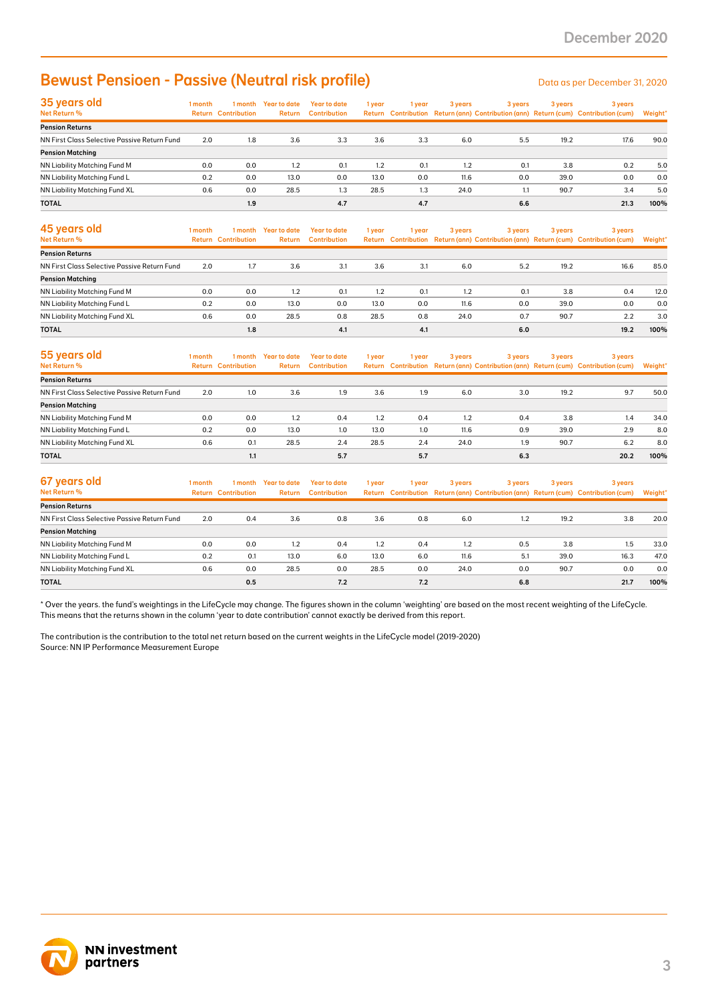## Bewust Pensioen - Passive (Neutral risk profile) Data as per December 31, 2020

| 35 years old<br>Net Return %                 | 1 month | 1 month<br><b>Return Contribution</b> | Year to date<br>Return | Year to date<br><b>Contribution</b> | 1 year | 1 year | 3 years | 3 years | 3 years | 3 years<br>Return Contribution Return (ann) Contribution (ann) Return (cum) Contribution (cum) | Weight* |
|----------------------------------------------|---------|---------------------------------------|------------------------|-------------------------------------|--------|--------|---------|---------|---------|------------------------------------------------------------------------------------------------|---------|
| <b>Pension Returns</b>                       |         |                                       |                        |                                     |        |        |         |         |         |                                                                                                |         |
| NN First Class Selective Passive Return Fund | 2.0     | 1.8                                   | 3.6                    | 3.3                                 | 3.6    | 3.3    | 6.0     | 5.5     | 19.2    | 17.6                                                                                           | 90.0    |
| <b>Pension Matching</b>                      |         |                                       |                        |                                     |        |        |         |         |         |                                                                                                |         |
| <b>NN Liability Matching Fund M</b>          | 0.0     | 0.0                                   | 1.2                    | 0.1                                 | 1.2    | 0.1    | 1.2     | 0.1     | 3.8     | 0.2                                                                                            | 5.0     |
| NN Liability Matching Fund L                 | 0.2     | 0.0                                   | 13.0                   | 0.0                                 | 13.0   | 0.0    | 11.6    | 0.0     | 39.0    | 0.0                                                                                            | 0.0     |
| NN Liability Matching Fund XL                | 0.6     | 0.0                                   | 28.5                   | 1.3                                 | 28.5   | 1.3    | 24.0    | 1.1     | 90.7    | 3.4                                                                                            | 5.0     |
| <b>TOTAL</b>                                 |         | 1.9                                   |                        | 4.7                                 |        | 4.7    |         | 6.6     |         | 21.3                                                                                           | 100%    |

| <b>Bewust Pensioen - Passive (Neutral risk profile)</b>                                                                                                                                                                                                                                                 |         |                                       |                                |                                            |        |               |         |                |         | Data as per December 31, 2020                                                                  |                |
|---------------------------------------------------------------------------------------------------------------------------------------------------------------------------------------------------------------------------------------------------------------------------------------------------------|---------|---------------------------------------|--------------------------------|--------------------------------------------|--------|---------------|---------|----------------|---------|------------------------------------------------------------------------------------------------|----------------|
| 35 years old<br>Net Return %                                                                                                                                                                                                                                                                            | 1 month | <b>Return Contribution</b>            | 1 month Year to date<br>Return | <b>Year to date</b><br><b>Contribution</b> | 1 year | 1 year        | 3 years | 3 years        | 3 years | 3 years<br>Return Contribution Return (ann) Contribution (ann) Return (cum) Contribution (cum) | Weight'        |
| <b>Pension Returns</b>                                                                                                                                                                                                                                                                                  |         |                                       |                                |                                            |        |               |         |                |         |                                                                                                |                |
| NN First Class Selective Passive Return Fund                                                                                                                                                                                                                                                            | 2.0     | 1.8                                   | 3.6                            | 3.3                                        | 3.6    | 3.3           | 6.0     | 5.5            | 19.2    | 17.6                                                                                           | 90.0           |
| <b>Pension Matching</b>                                                                                                                                                                                                                                                                                 |         |                                       |                                |                                            |        |               |         |                |         |                                                                                                |                |
| NN Liability Matching Fund M                                                                                                                                                                                                                                                                            | 0.0     | 0.0                                   | 1.2                            | 0.1                                        | 1.2    | 0.1           | 1.2     | 0.1            | 3.8     | 0.2                                                                                            | 5.0            |
| NN Liability Matching Fund L                                                                                                                                                                                                                                                                            | 0.2     | 0.0                                   | 13.0                           | 0.0                                        | 13.0   | 0.0           | 11.6    | 0.0            | 39.0    | 0.0                                                                                            | 0.0            |
| NN Liability Matching Fund XL                                                                                                                                                                                                                                                                           | 0.6     | 0.0                                   | 28.5                           | 1.3                                        | 28.5   | 1.3           | 24.0    | 1.1            | 90.7    | 3.4                                                                                            | 5.0            |
| <b>TOTAL</b><br>45 years old                                                                                                                                                                                                                                                                            | 1 month | 1.9<br>1 month                        | <b>Year to date</b>            | 4.7<br><b>Year to date</b>                 | 1 year | 4.7<br>1 year | 3 years | 6.6<br>3 years | 3 years | 21.3<br>3 years                                                                                | 100%           |
| Net Return %                                                                                                                                                                                                                                                                                            |         | <b>Return Contribution</b>            | Return                         | <b>Contribution</b>                        |        |               |         |                |         | Return Contribution Return (ann) Contribution (ann) Return (cum) Contribution (cum)            | <b>Weight'</b> |
| <b>Pension Returns</b>                                                                                                                                                                                                                                                                                  |         |                                       |                                |                                            |        |               |         |                |         |                                                                                                |                |
| NN First Class Selective Passive Return Fund                                                                                                                                                                                                                                                            | 2.0     | 1.7                                   | 3.6                            | 3.1                                        | 3.6    | 3.1           | 6.0     | 5.2            | 19.2    | 16.6                                                                                           | 85.0           |
| <b>Pension Matching</b>                                                                                                                                                                                                                                                                                 |         |                                       |                                |                                            |        |               |         |                |         |                                                                                                |                |
| NN Liability Matching Fund M                                                                                                                                                                                                                                                                            | 0.0     | 0.0                                   | 1.2                            | 0.1                                        | 1.2    | 0.1           | 1.2     | 0.1            | 3.8     | 0.4                                                                                            | 12.0           |
| NN Liability Matching Fund L                                                                                                                                                                                                                                                                            | 0.2     | 0.0                                   | 13.0                           | 0.0                                        | 13.0   | 0.0           | 11.6    | 0.0            | 39.0    | 0.0                                                                                            | 0.0            |
| NN Liability Matching Fund XL                                                                                                                                                                                                                                                                           | 0.6     | 0.0                                   | 28.5                           | 0.8                                        | 28.5   | 0.8           | 24.0    | 0.7            | 90.7    | 2.2                                                                                            | 3.0            |
| <b>TOTAL</b>                                                                                                                                                                                                                                                                                            |         | 1.8                                   |                                | 4.1                                        |        | 4.1           |         | 6.0            |         | 19.2                                                                                           | 100%           |
| 55 years old<br>Net Return %                                                                                                                                                                                                                                                                            | 1 month | 1 month<br><b>Return Contribution</b> | <b>Year to date</b><br>Return  | <b>Year to date</b><br><b>Contribution</b> | 1 year | 1 year        | 3 years | 3 years        | 3 years | 3 years<br>Return Contribution Return (ann) Contribution (ann) Return (cum) Contribution (cum) | Weight'        |
| <b>Pension Returns</b>                                                                                                                                                                                                                                                                                  |         |                                       |                                |                                            |        |               |         |                |         |                                                                                                |                |
| NN First Class Selective Passive Return Fund                                                                                                                                                                                                                                                            | 2.0     | 1.0                                   | 3.6                            | 1.9                                        | 3.6    | 1.9           | 6.0     | 3.0            | 19.2    | 9.7                                                                                            | 50.0           |
| <b>Pension Matching</b>                                                                                                                                                                                                                                                                                 |         |                                       |                                |                                            |        |               |         |                |         |                                                                                                |                |
| <b>NN Liability Matching Fund M</b>                                                                                                                                                                                                                                                                     | 0.0     | 0.0                                   | 1.2                            | 0.4                                        | 1.2    | 0.4           | 1.2     | 0.4            | 3.8     | 1.4                                                                                            | 34.0           |
| NN Liability Matching Fund L                                                                                                                                                                                                                                                                            | 0.2     | 0.0                                   | 13.0                           | 1.0                                        | 13.0   | 1.0           | 11.6    | 0.9            | 39.0    | 2.9                                                                                            | 8.0            |
| NN Liability Matching Fund XL                                                                                                                                                                                                                                                                           | 0.6     | 0.1                                   | 28.5                           | 2.4                                        | 28.5   | 2.4           | 24.0    | 1.9            | 90.7    | 6.2                                                                                            | 8.0            |
| <b>TOTAL</b>                                                                                                                                                                                                                                                                                            |         | 1.1                                   |                                | 5.7                                        |        | 5.7           |         | 6.3            |         | 20.2                                                                                           | 100%           |
| 67 years old                                                                                                                                                                                                                                                                                            | 1 month | 1 month                               | <b>Year to date</b>            | <b>Year to date</b>                        | 1 year | 1 year        | 3 years | 3 years        | 3 years | 3 years                                                                                        |                |
| Net Return %                                                                                                                                                                                                                                                                                            |         | <b>Return Contribution</b>            | Return                         | <b>Contribution</b>                        |        |               |         |                |         | Return Contribution Return (ann) Contribution (ann) Return (cum) Contribution (cum)            | <b>Weight'</b> |
| <b>Pension Returns</b>                                                                                                                                                                                                                                                                                  |         |                                       |                                |                                            |        |               |         |                |         |                                                                                                |                |
| NN First Class Selective Passive Return Fund                                                                                                                                                                                                                                                            | 2.0     | 0.4                                   | 3.6                            | 0.8                                        | 3.6    | 0.8           | 6.0     | 1.2            | 19.2    | 3.8                                                                                            | 20.0           |
| <b>Pension Matching</b>                                                                                                                                                                                                                                                                                 |         |                                       |                                |                                            |        |               |         |                |         |                                                                                                |                |
| NN Liability Matching Fund M                                                                                                                                                                                                                                                                            | 0.0     | 0.0                                   | 1.2                            | 0.4                                        | 1.2    | 0.4           | 1.2     | 0.5            | 3.8     | 1.5                                                                                            | 33.0           |
| NN Liability Matching Fund L                                                                                                                                                                                                                                                                            | 0.2     | 0.1                                   | 13.0                           | 6.0                                        | 13.0   | 6.0           | 11.6    | 5.1            | 39.0    | 16.3                                                                                           | 47.0           |
| NN Liability Matching Fund XL                                                                                                                                                                                                                                                                           | 0.6     | 0.0                                   | 28.5                           | 0.0                                        | 28.5   | 0.0           | 24.0    | 0.0            | 90.7    | 0.0                                                                                            | 0.0            |
| <b>TOTAL</b>                                                                                                                                                                                                                                                                                            |         | 0.5                                   |                                | 7.2                                        |        | 7.2           |         | 6.8            |         | 21.7                                                                                           | 100%           |
| This means that the returns shown in the column 'year to date contribution' cannot exactly be derived from this report.<br>The contribution is the contribution to the total net return based on the current weights in the LifeCycle model (2019-2020)<br>Source: NN IP Performance Measurement Europe |         |                                       |                                |                                            |        |               |         |                |         |                                                                                                |                |
| <b>NN investment</b><br>partners                                                                                                                                                                                                                                                                        |         |                                       |                                |                                            |        |               |         |                |         |                                                                                                |                |

| 55 years old<br>Net Return %                 | 1 month | 1 month<br><b>Return Contribution</b> | Year to date<br>Return | <b>Year to date</b><br><b>Contribution</b> | 1 year | 1 year | 3 years | 3 years | 3 years | 3 years<br>Return Contribution Return (ann) Contribution (ann) Return (cum) Contribution (cum) | Weight* |
|----------------------------------------------|---------|---------------------------------------|------------------------|--------------------------------------------|--------|--------|---------|---------|---------|------------------------------------------------------------------------------------------------|---------|
| <b>Pension Returns</b>                       |         |                                       |                        |                                            |        |        |         |         |         |                                                                                                |         |
| NN First Class Selective Passive Return Fund | 2.0     | 1.0                                   | 3.6                    | 1.9                                        | 3.6    | 1.9    | 6.0     | 3.0     | 19.2    | 9.7                                                                                            | 50.0    |
| <b>Pension Matching</b>                      |         |                                       |                        |                                            |        |        |         |         |         |                                                                                                |         |
| NN Liability Matching Fund M                 | 0.0     | 0.0                                   | 1.2                    | 0.4                                        | 1.2    | 0.4    | 1.2     | 0.4     | 3.8     | 1.4                                                                                            | 34.0    |
| NN Liability Matching Fund L                 | 0.2     | 0.0                                   | 13.0                   | 1.0                                        | 13.0   | 1.0    | 11.6    | 0.9     | 39.0    | 2.9                                                                                            | 8.0     |
| NN Liability Matching Fund XL                | 0.6     | 0.1                                   | 28.5                   | 2.4                                        | 28.5   | 2.4    | 24.0    | 1.9     | 90.7    | 6.2                                                                                            | 8.0     |
| <b>TOTAL</b>                                 |         | 1.1                                   |                        | 5.7                                        |        | 5.7    |         | 6.3     |         | 20.2                                                                                           | 100%    |

| 67 years old                                 | 1 month | 1 month                    | <b>Year to date</b> | <b>Year to date</b> | 1 year | 1 year | 3 years | 3 years | 3 years | 3 years                                                                             |         |
|----------------------------------------------|---------|----------------------------|---------------------|---------------------|--------|--------|---------|---------|---------|-------------------------------------------------------------------------------------|---------|
| Net Return %                                 |         | <b>Return Contribution</b> | Return              | <b>Contribution</b> |        |        |         |         |         | Return Contribution Return (ann) Contribution (ann) Return (cum) Contribution (cum) | Weight* |
| <b>Pension Returns</b>                       |         |                            |                     |                     |        |        |         |         |         |                                                                                     |         |
| NN First Class Selective Passive Return Fund | 2.0     | 0.4                        | 3.6                 | 0.8                 | 3.6    | 0.8    | 6.0     | 1.2     | 19.2    | 3.8                                                                                 | 20.0    |
| <b>Pension Matching</b>                      |         |                            |                     |                     |        |        |         |         |         |                                                                                     |         |
| NN Liability Matching Fund M                 | 0.0     | 0.0                        | 1.2                 | 0.4                 | 1.2    | 0.4    | 1.2     | 0.5     | 3.8     | 1.5                                                                                 | 33.0    |
| NN Liability Matching Fund L                 | 0.2     | 0.1                        | 13.0                | 6.0                 | 13.0   | 6.0    | 11.6    | 5.1     | 39.0    | 16.3                                                                                | 47.0    |
| NN Liability Matching Fund XL                | 0.6     | 0.0                        | 28.5                | 0.0                 | 28.5   | 0.0    | 24.0    | 0.0     | 90.7    | 0.0                                                                                 | 0.0     |
| <b>TOTAL</b>                                 |         | 0.5                        |                     | 7.2                 |        | 7.2    |         | 6.8     |         | 21.7                                                                                | 100%    |